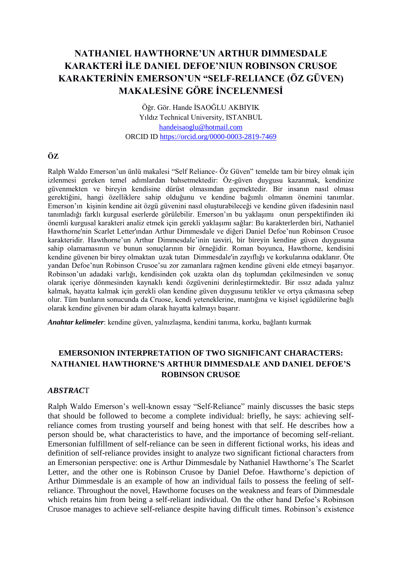# **NATHANIEL HAWTHORNE'UN ARTHUR DIMMESDALE KARAKTERİ İLE DANIEL DEFOE'NIUN ROBINSON CRUSOE KARAKTERİNİN EMERSON'UN "SELF-RELIANCE (ÖZ GÜVEN) MAKALESİNE GÖRE İNCELENMESİ**

Öğr. Gör. Hande İSAOĞLU AKBIYIK Yıldız Technical University, ISTANBUL [handeisaoglu@hotmail.com](mailto:handeisaoglu@hotmail.com) ORCID ID<https://orcid.org/0000-0003-2819-7469>

## **ÖZ**

Ralph Waldo Emerson'un ünlü makalesi "Self Reliance- Öz Güven" temelde tam bir birey olmak için izlenmesi gereken temel adımlardan bahsetmektedir: Öz-güven duygusu kazanmak, kendinize güvenmekten ve bireyin kendisine dürüst olmasından geçmektedir. Bir insanın nasıl olması gerektiğini, hangi özelliklere sahip olduğunu ve kendine bağımlı olmanın önemini tanımlar. Emerson'ın kişinin kendine ait özgü güvenini nasıl oluşturabileceği ve kendine güven ifadesinin nasıl tanımladığı farklı kurgusal eserlerde görülebilir. Emerson'ın bu yaklaşımı onun perspektifinden iki önemli kurgusal karakteri analiz etmek için gerekli yaklaşımı sağlar: Bu karakterlerden biri, Nathaniel Hawthorne'nin Scarlet Letter'ından Arthur Dimmesdale ve diğeri Daniel Defoe'nun Robinson Crusoe karakteridir. Hawthorne'un Arthur Dimmesdale'inin tasviri, bir bireyin kendine güven duygusuna sahip olamamasının ve bunun sonuçlarının bir örneğidir. Roman boyunca, Hawthorne, kendisini kendine güvenen bir birey olmaktan uzak tutan Dimmesdale'in zayıflığı ve korkularına odaklanır. Öte yandan Defoe'nun Robinson Crusoe'su zor zamanlara rağmen kendine güveni elde etmeyi başarıyor. Robinson'un adadaki varlığı, kendisinden çok uzakta olan dış toplumdan çekilmesinden ve sonuç olarak içeriye dönmesinden kaynaklı kendi özgüvenini derinleştirmektedir. Bir ıssız adada yalnız kalmak, hayatta kalmak için gerekli olan kendine güven duygusunu tetikler ve ortya çıkmasına sebep olur. Tüm bunların sonucunda da Cruose, kendi yeteneklerine, mantığına ve kişisel içgüdülerine bağlı olarak kendine güvenen bir adam olarak hayatta kalmayı başarır.

*Anahtar kelimeler*: kendine güven, yalnızlaşma, kendini tanıma, korku, bağlantı kurmak

# **EMERSONION INTERPRETATION OF TWO SIGNIFICANT CHARACTERS: NATHANIEL HAWTHORNE'S ARTHUR DIMMESDALE AND DANIEL DEFOE'S ROBINSON CRUSOE**

### *ABSTRAC*T

Ralph Waldo Emerson's well-known essay "Self-Reliance" mainly discusses the basic steps that should be followed to become a complete individual: briefly, he says: achieving selfreliance comes from trusting yourself and being honest with that self. He describes how a person should be, what characteristics to have, and the importance of becoming self-reliant. Emersonian fulfillment of self-reliance can be seen in different fictional works, his ideas and definition of self-reliance provides insight to analyze two significant fictional characters from an Emersonian perspective: one is Arthur Dimmesdale by Nathaniel Hawthorne's The Scarlet Letter, and the other one is Robinson Crusoe by Daniel Defoe. Hawthorne's depiction of Arthur Dimmesdale is an example of how an individual fails to possess the feeling of selfreliance. Throughout the novel, Hawthorne focuses on the weakness and fears of Dimmesdale which retains him from being a self-reliant individual. On the other hand Defoe's Robinson Crusoe manages to achieve self-reliance despite having difficult times. Robinson's existence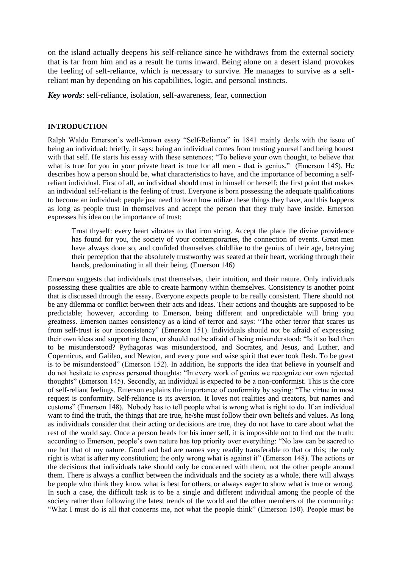on the island actually deepens his self-reliance since he withdraws from the external society that is far from him and as a result he turns inward. Being alone on a desert island provokes the feeling of self-reliance, which is necessary to survive. He manages to survive as a selfreliant man by depending on his capabilities, logic, and personal instincts.

*Key words*: self-reliance, isolation, self-awareness, fear, connection

#### **INTRODUCTION**

Ralph Waldo Emerson's well-known essay "Self-Reliance" in 1841 mainly deals with the issue of being an individual: briefly, it says: being an individual comes from trusting yourself and being honest with that self. He starts his essay with these sentences; "To believe your own thought, to believe that what is true for you in your private heart is true for all men - that is genius." (Emerson 145). He describes how a person should be, what characteristics to have, and the importance of becoming a selfreliant individual. First of all, an individual should trust in himself or herself: the first point that makes an individual self-reliant is the feeling of trust. Everyone is born possessing the adequate qualifications to become an individual: people just need to learn how utilize these things they have, and this happens as long as people trust in themselves and accept the person that they truly have inside. Emerson expresses his idea on the importance of trust:

Trust thyself: every heart vibrates to that iron string. Accept the place the divine providence has found for you, the society of your contemporaries, the connection of events. Great men have always done so, and confided themselves childlike to the genius of their age, betraying their perception that the absolutely trustworthy was seated at their heart, working through their hands, predominating in all their being. (Emerson 146)

Emerson suggests that individuals trust themselves, their intuition, and their nature. Only individuals possessing these qualities are able to create harmony within themselves. Consistency is another point that is discussed through the essay. Everyone expects people to be really consistent. There should not be any dilemma or conflict between their acts and ideas. Their actions and thoughts are supposed to be predictable; however, according to Emerson, being different and unpredictable will bring you greatness. Emerson names consistency as a kind of terror and says: "The other terror that scares us from self-trust is our inconsistency" (Emerson 151). Individuals should not be afraid of expressing their own ideas and supporting them, or should not be afraid of being misunderstood: "Is it so bad then to be misunderstood? Pythagoras was misunderstood, and Socrates, and Jesus, and Luther, and Copernicus, and Galileo, and Newton, and every pure and wise spirit that ever took flesh. To be great is to be misunderstood" (Emerson 152). In addition, he supports the idea that believe in yourself and do not hesitate to express personal thoughts: "In every work of genius we recognize our own rejected thoughts" (Emerson 145). Secondly, an individual is expected to be a non-conformist. This is the core of self-reliant feelings. Emerson explains the importance of conformity by saying: "The virtue in most request is conformity. Self-reliance is its aversion. It loves not realities and creators, but names and customs" (Emerson 148). Nobody has to tell people what is wrong what is right to do. If an individual want to find the truth, the things that are true, he/she must follow their own beliefs and values. As long as individuals consider that their acting or decisions are true, they do not have to care about what the rest of the world say. Once a person heads for his inner self, it is impossible not to find out the truth: according to Emerson, people's own nature has top priority over everything: "No law can be sacred to me but that of my nature. Good and bad are names very readily transferable to that or this; the only right is what is after my constitution; the only wrong what is against it" (Emerson 148). The actions or the decisions that individuals take should only be concerned with them, not the other people around them. There is always a conflict between the individuals and the society as a whole, there will always be people who think they know what is best for others, or always eager to show what is true or wrong. In such a case, the difficult task is to be a single and different individual among the people of the society rather than following the latest trends of the world and the other members of the community: "What I must do is all that concerns me, not what the people think" (Emerson 150). People must be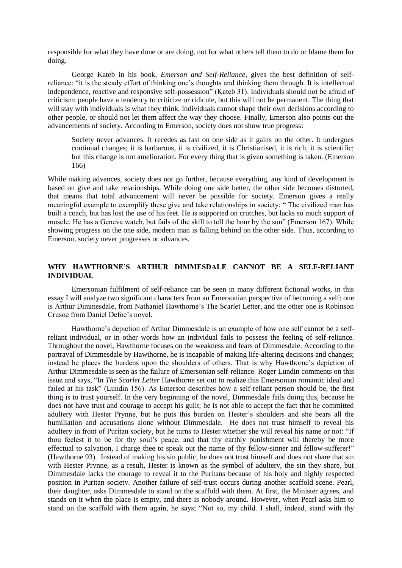responsible for what they have done or are doing, not for what others tell them to do or blame them for doing.

George Kateb in his book, *Emerson and Self-Reliance*, gives the best definition of selfreliance: "it is the steady effort of thinking one's thoughts and thinking them through. It is intellectual independence, reactive and responsive self-possession" (Kateb 31). Individuals should not be afraid of criticism: people have a tendency to criticize or ridicule, but this will not be permanent. The thing that will stay with individuals is what they think. Individuals cannot shape their own decisions according to other people, or should not let them affect the way they choose. Finally, Emerson also points out the advancements of society. According to Emerson, society does not show true progress:

Society never advances. It recedes as fast on one side as it gains on the other. It undergoes continual changes; it is barbarous, it is civilized, it is Christianised, it is rich, it is scientific; but this change is not amelioration. For every thing that is given something is taken. (Emerson 166)

While making advances, society does not go further, because everything, any kind of development is based on give and take relationships. While doing one side better, the other side becomes distorted, that means that total advancement will never be possible for society. Emerson gives a really meaningful example to exemplify these give and take relationships in society: " The civilized man has built a coach, but has lost the use of his feet. He is supported on crutches, but lacks so much support of muscle. He has a Geneva watch, but fails of the skill to tell the hour by the sun" (Emerson 167). While showing progress on the one side, modern man is falling behind on the other side. Thus, according to Emerson, society never progresses or advances.

#### **WHY HAWTHORNE'S ARTHUR DIMMESDALE CANNOT BE A SELF-RELIANT INDIVIDUAL**

Emersonian fulfilment of self-reliance can be seen in many different fictional works, in this essay I will analyze two significant characters from an Emersonian perspective of becoming a self: one is Arthur Dimmesdale, from Nathaniel Hawthorne's The Scarlet Letter, and the other one is Robinson Crusoe from Daniel Defoe's novel.

Hawthorne's depiction of Arthur Dimmesdale is an example of how one self cannot be a selfreliant individual, or in other words how an individual fails to possess the feeling of self-reliance. Throughout the novel, Hawthorne focuses on the weakness and fears of Dimmesdale. According to the portrayal of Dimmesdale by Hawthorne, he is incapable of making life-altering decisions and changes; instead he places the burdens upon the shoulders of others. That is why Hawthorne's depiction of Arthur Dimmesdale is seen as the failure of Emersonian self-reliance. Roger Lundin comments on this issue and says, "In *The Scarlet Letter* Hawthorne set out to realize this Emersonian romantic ideal and failed at his task" (Lundin 156). As Emerson describes how a self-reliant person should be, the first thing is to trust yourself. In the very beginning of the novel, Dimmesdale fails doing this, because he does not have trust and courage to accept his guilt; he is not able to accept the fact that he committed adultery with Hester Prynne, but he puts this burden on Hester's shoulders and she bears all the humiliation and accusations alone without Dimmesdale. He does not trust himself to reveal his adultery in front of Puritan society, but he turns to Hester whether she will reveal his name or not: "If thou feelest it to be for thy soul's peace, and that thy earthly punishment will thereby be more effectual to salvation, I charge thee to speak out the name of thy fellow-sinner and fellow-sufferer!" (Hawthorne 93). Instead of making his sin public, he does not trust himself and does not share that sin with Hester Prynne, as a result, Hester is known as the symbol of adultery, the sin they share, but Dimmesdale lacks the courage to reveal it to the Puritans because of his holy and highly respected position in Puritan society. Another failure of self-trust occurs during another scaffold scene. Pearl, their daughter, asks Dimmesdale to stand on the scaffold with them. At first, the Minister agrees, and stands on it when the place is empty, and there is nobody around. However, when Pearl asks him to stand on the scaffold with them again, he says; "Not so, my child. I shall, indeed, stand with thy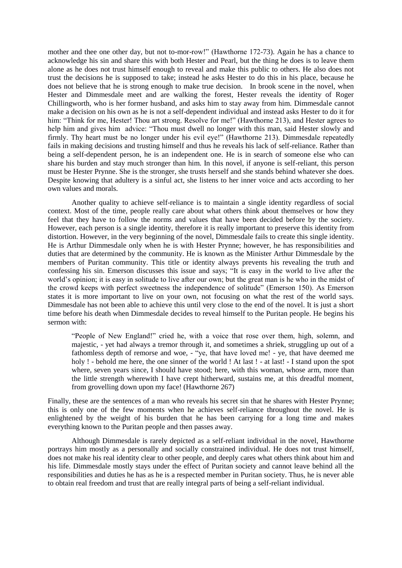mother and thee one other day, but not to-mor-row!" (Hawthorne 172-73). Again he has a chance to acknowledge his sin and share this with both Hester and Pearl, but the thing he does is to leave them alone as he does not trust himself enough to reveal and make this public to others. He also does not trust the decisions he is supposed to take; instead he asks Hester to do this in his place, because he does not believe that he is strong enough to make true decision. In brook scene in the novel, when Hester and Dimmesdale meet and are walking the forest, Hester reveals the identity of Roger Chillingworth, who is her former husband, and asks him to stay away from him. Dimmesdale cannot make a decision on his own as he is not a self-dependent individual and instead asks Hester to do it for him: "Think for me, Hester! Thou art strong. Resolve for me!" (Hawthorne 213), and Hester agrees to help him and gives him advice: "Thou must dwell no longer with this man, said Hester slowly and firmly. Thy heart must be no longer under his evil eye!" (Hawthorne 213). Dimmesdale repeatedly fails in making decisions and trusting himself and thus he reveals his lack of self-reliance. Rather than being a self-dependent person, he is an independent one. He is in search of someone else who can share his burden and stay much stronger than him. In this novel, if anyone is self-reliant, this person must be Hester Prynne. She is the stronger, she trusts herself and she stands behind whatever she does. Despite knowing that adultery is a sinful act, she listens to her inner voice and acts according to her own values and morals.

Another quality to achieve self-reliance is to maintain a single identity regardless of social context. Most of the time, people really care about what others think about themselves or how they feel that they have to follow the norms and values that have been decided before by the society. However, each person is a single identity, therefore it is really important to preserve this identity from distortion. However, in the very beginning of the novel, Dimmesdale fails to create this single identity. He is Arthur Dimmesdale only when he is with Hester Prynne; however, he has responsibilities and duties that are determined by the community. He is known as the Minister Arthur Dimmesdale by the members of Puritan community. This title or identity always prevents his revealing the truth and confessing his sin. Emerson discusses this issue and says; "It is easy in the world to live after the world's opinion; it is easy in solitude to live after our own; but the great man is he who in the midst of the crowd keeps with perfect sweetness the independence of solitude" (Emerson 150). As Emerson states it is more important to live on your own, not focusing on what the rest of the world says. Dimmesdale has not been able to achieve this until very close to the end of the novel. It is just a short time before his death when Dimmesdale decides to reveal himself to the Puritan people. He begins his sermon with:

"People of New England!" cried he, with a voice that rose over them, high, solemn, and majestic, - yet had always a tremor through it, and sometimes a shriek, struggling up out of a fathomless depth of remorse and woe, - "ye, that have loved me! - ye, that have deemed me holy ! - behold me here, the one sinner of the world ! At last ! - at last! - I stand upon the spot where, seven years since, I should have stood; here, with this woman, whose arm, more than the little strength wherewith I have crept hitherward, sustains me, at this dreadful moment, from grovelling down upon my face! (Hawthorne 267)

Finally, these are the sentences of a man who reveals his secret sin that he shares with Hester Prynne; this is only one of the few moments when he achieves self-reliance throughout the novel. He is enlightened by the weight of his burden that he has been carrying for a long time and makes everything known to the Puritan people and then passes away.

Although Dimmesdale is rarely depicted as a self-reliant individual in the novel, Hawthorne portrays him mostly as a personally and socially constrained individual. He does not trust himself, does not make his real identity clear to other people, and deeply cares what others think about him and his life. Dimmesdale mostly stays under the effect of Puritan society and cannot leave behind all the responsibilities and duties he has as he is a respected member in Puritan society. Thus, he is never able to obtain real freedom and trust that are really integral parts of being a self-reliant individual.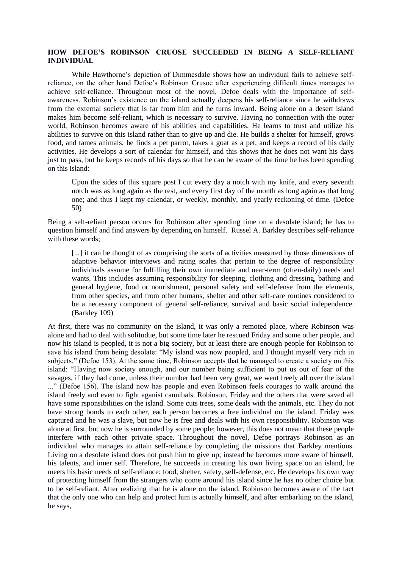#### **HOW DEFOE'S ROBINSON CRUOSE SUCCEEDED IN BEING A SELF-RELIANT INDIVIDUAL**

While Hawthorne's depiction of Dimmesdale shows how an individual fails to achieve selfreliance, on the other hand Defoe's Robinson Crusoe after experiencing difficult times manages to achieve self-reliance. Throughout most of the novel, Defoe deals with the importance of selfawareness. Robinson's existence on the island actually deepens his self-reliance since he withdraws from the external society that is far from him and he turns inward. Being alone on a desert island makes him become self-reliant, which is necessary to survive. Having no connection with the outer world, Robinson becomes aware of his abilities and capabilities. He learns to trust and utilize his abilities to survive on this island rather than to give up and die. He builds a shelter for himself, grows food, and tames animals; he finds a pet parrot, takes a goat as a pet, and keeps a record of his daily activities. He develops a sort of calendar for himself, and this shows that he does not want his days just to pass, but he keeps records of his days so that he can be aware of the time he has been spending on this island:

Upon the sides of this square post I cut every day a notch with my knife, and every seventh notch was as long again as the rest, and every first day of the month as long again as that long one; and thus I kept my calendar, or weekly, monthly, and yearly reckoning of time. (Defoe 50)

Being a self-reliant person occurs for Robinson after spending time on a desolate island; he has to question himself and find answers by depending on himself. Russel A. Barkley describes self-reliance with these words:

[...] it can be thought of as comprising the sorts of activities measured by those dimensions of adaptive behavior interviews and rating scales that pertain to the degree of responsibility individuals assume for fulfilling their own immediate and near-term (often-daily) needs and wants. This includes assuming responsibility for sleeping, clothing and dressing, bathing and general hygiene, food or nourishment, personal safety and self-defense from the elements, from other species, and from other humans, shelter and other self-care routines considered to be a necessary component of general self-reliance, survival and basic social independence. (Barkley 109)

At first, there was no community on the island, it was only a remoted place, where Robinson was alone and had to deal with solitudue, but some time later he rescued Friday and some other people, and now his island is peopled, it is not a big society, but at least there are enough people for Robinson to save his island from being desolate: "My island was now peopled, and I thought myself very rich in subjects." (Defoe 153). At the same time, Robinson accepts that he managed to create a society on this island: "Having now society enough, and our number being sufficient to put us out of fear of the savages, if they had come, unless their number had been very great, we went freely all over the island ..." (Defoe 156). The island now has people and even Robinson feels courages to walk around the island freely and even to fight aganist cannibals. Robinson, Friday and the others that were saved all have some rsponsibilities on the island. Some cuts trees, some deals with the animals, etc. They do not have strong bonds to each other, each person becomes a free individual on the island. Friday was captured and he was a slave, but now he is free and deals with his own responsibility. Robinson was alone at first, but now he is surrounded by some people; however, this does not mean that these people interfere with each other private space. Throughout the novel, Defoe portrays Robinson as an individual who manages to attain self-reliance by completing the missions that Barkley mentions. Living on a desolate island does not push him to give up; instead he becomes more aware of himself, his talents, and inner self. Therefore, he succeeds in creating his own living space on an island, he meets his basic needs of self-reliance: food, shelter, safety, self-defense, etc. He develops his own way of protecting himself from the strangers who come around his island since he has no other choice but to be self-reliant. After realizing that he is alone on the island, Robinson becomes aware of the fact that the only one who can help and protect him is actually himself, and after embarking on the island, he says,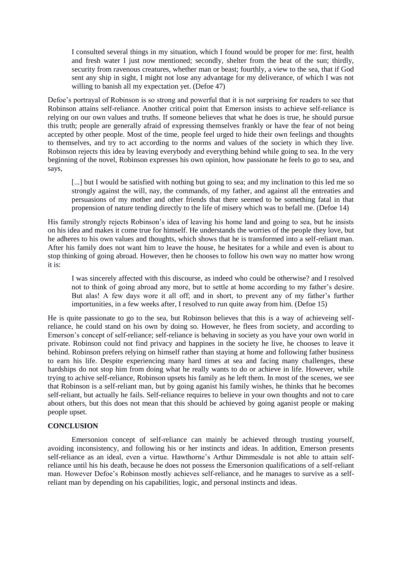I consulted several things in my situation, which I found would be proper for me: first, health and fresh water I just now mentioned; secondly, shelter from the heat of the sun; thirdly, security from ravenous creatures, whether man or beast; fourthly, a view to the sea, that if God sent any ship in sight, I might not lose any advantage for my deliverance, of which I was not willing to banish all my expectation yet. (Defoe 47)

Defoe's portrayal of Robinson is so strong and powerful that it is not surprising for readers to see that Robinson attains self-reliance. Another critical point that Emerson insists to achieve self-reliance is relying on our own values and truths. If someone believes that what he does is true, he should pursue this truth; people are generally afraid of expressing themselves frankly or have the fear of not being accepted by other people. Most of the time, people feel urged to hide their own feelings and thoughts to themselves, and try to act according to the norms and values of the society in which they live. Robinson rejects this idea by leaving everybody and everything behind while going to sea. In the very beginning of the novel, Robinson expresses his own opinion, how passionate he feels to go to sea, and says,

[...] but I would be satisfied with nothing but going to sea; and my inclination to this led me so strongly against the will, nay, the commands, of my father, and against all the entreaties and persuasions of my mother and other friends that there seemed to be something fatal in that propension of nature tending directly to the life of misery which was to befall me. (Defoe 14)

His family strongly rejects Robinson's idea of leaving his home land and going to sea, but he insists on his idea and makes it come true for himself. He understands the worries of the people they love, but he adheres to his own values and thoughts, which shows that he is transformed into a self-reliant man. After his family does not want him to leave the house, he hesitates for a while and even is about to stop thinking of going abroad. However, then he chooses to follow his own way no matter how wrong it is:

I was sincerely affected with this discourse, as indeed who could be otherwise? and I resolved not to think of going abroad any more, but to settle at home according to my father's desire. But alas! A few days wore it all off; and in short, to prevent any of my father's further importunities, in a few weeks after, I resolved to run quite away from him. (Defoe 15)

He is quite passionate to go to the sea, but Robinson believes that this is a way of achieveing selfreliance, he could stand on his own by doing so. However, he flees from society, and according to Emerson's concept of self-reliance; self-reliance is behaving in society as you have your own world in private. Robinson could not find privacy and happines in the society he live, he chooses to leave it behind. Robinson prefers relying on himself rather than staying at home and following father business to earn his life. Despite experiencing many hard times at sea and facing many challenges, these hardships do not stop him from doing what he really wants to do or achieve in life. However, while trying to achive self-reliance, Robinson upsets his family as he left them. In most of the scenes, we see that Robinson is a self-reliant man, but by going aganist his family wishes, he thinks that he becomes self-reliant, but actually he fails. Self-reliance requires to believe in your own thoughts and not to care about others, but this does not mean that this should be achieved by going aganist people or making people upset.

#### **CONCLUSION**

Emersonion concept of self-reliance can mainly be achieved through trusting yourself, avoiding inconsistency, and following his or her instincts and ideas. In addition, Emerson presents self-reliance as an ideal, even a virtue. Hawthorne's Arthur Dimmesdale is not able to attain selfreliance until his his death, because he does not possess the Emersonion qualifications of a self-reliant man. However Defoe's Robinson mostly achieves self-reliance, and he manages to survive as a selfreliant man by depending on his capabilities, logic, and personal instincts and ideas.